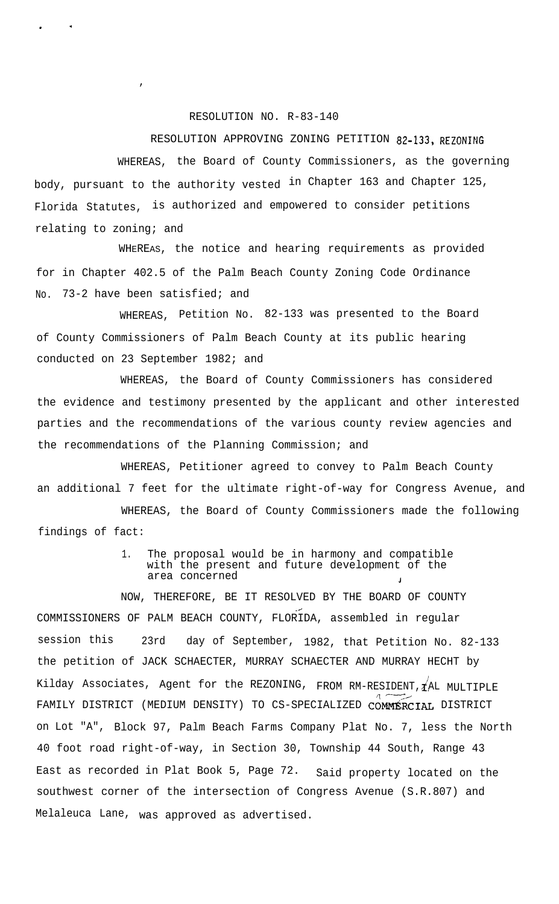## RESOLUTION NO. R-83-140

.

.

 $\lambda$ 

## RESOLUTION APPROVING ZONING PETITION 82-133, REZONING

WHEREAS, the Board of County Commissioners, as the governing body, pursuant to the authority vested in Chapter 163 and Chapter 125, Florida Statutes, is authorized and empowered to consider petitions relating to zoning; and

WHEREAS, the notice and hearing requirements as provided for in Chapter 402.5 of the Palm Beach County Zoning Code Ordinance No. 73-2 have been satisfied; and

WHEREAS, Petition No. 82-133 was presented to the Board of County Commissioners of Palm Beach County at its public hearing conducted on 23 September 1982; and

WHEREAS, the Board of County Commissioners has considered the evidence and testimony presented by the applicant and other interested parties and the recommendations of the various county review agencies and the recommendations of the Planning Commission; and

WHEREAS, Petitioner agreed to convey to Palm Beach County an additional 7 feet for the ultimate right-of-way for Congress Avenue, and

WHEREAS, the Board of County Commissioners made the following findings of fact:

## 1. The proposal would be in harmony and compatible with the present and future development of the area concerned

NOW, THEREFORE, BE IT RESOLVED BY THE BOARD OF COUNTY \_d COMMISSIONERS OF PALM BEACH COUNTY, FLORIDA, assembled in regular session this 23rd day of September, 1982, that Petition No. 82-133 the petition of JACK SCHAECTER, MURRAY SCHAECTER AND MURRAY HECHT by Kilday Associates, Agent for the REZONING, FROM RM-RESIDENT,  $\vec{\chi}$ AL MULTIPLE FAMILY DISTRICT (MEDIUM DENSITY) TO CS-SPECIALIZED COMMERCIAL DISTRICT on Lot "A", Block 97, Palm Beach Farms Company Plat No. 7, less the North 40 foot road right-of-way, in Section 30, Township 44 South, Range 43 East as recorded in Plat Book 5, Page 72. Said property located on the southwest corner of the intersection of Congress Avenue (S.R.807) and Melaleuca Lane, was approved as advertised.